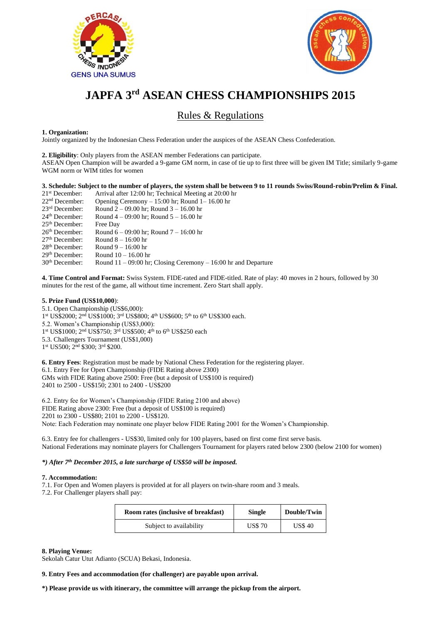



## **JAPFA 3rd ASEAN CHESS CHAMPIONSHIPS 2015**

## Rules & Regulations

#### **1. Organization:**

Jointly organized by the Indonesian Chess Federation under the auspices of the ASEAN Chess Confederation.

**2. Eligibility**: Only players from the ASEAN member Federations can participate.

ASEAN Open Champion will be awarded a 9-game GM norm, in case of tie up to first three will be given IM Title; similarly 9-game WGM norm or WIM titles for women

#### **3. Schedule: Subject to the number of players, the system shall be between 9 to 11 rounds Swiss/Round-robin/Prelim & Final.**

21<sup>st</sup> December: Arrival after 12:00 hr; Technical Meeting at 20:00 hr<br>22<sup>nd</sup> December: Opening Ceremony – 15:00 hr; Round 1–16.00 hr 22<sup>nd</sup> December: Opening Ceremony – 15:00 hr; Round 1– 16.00 hr<br>23<sup>rd</sup> December: Round 2 – 09.00 hr; Round 3 – 16.00 hr 23<sup>rd</sup> December: Round 2 – 09.00 hr; Round 3 – 16.00 hr<br>24<sup>th</sup> December: Round 4 – 09:00 hr: Round 5 – 16.00 hr Round  $4 - 09:00$  hr; Round  $5 - 16.00$  hr 25th December: Free Day 26<sup>th</sup> December: Round  $6 - 09:00$  hr; Round  $7 - 16:00$  hr<br>27<sup>th</sup> December: Round  $8 - 16:00$  hr Round  $8 - 16:00$  hr  $28<sup>th</sup> December: Round 9 – 16:00 hr  
29<sup>th</sup> December: Round 10 – 16.00 h$ 29<sup>th</sup> December: Round  $10 - 16.00$  hr<br>30<sup>th</sup> December: Round  $11 - 09:00$  hr Round  $11 - 09:00$  hr; Closing Ceremony – 16:00 hr and Departure

**4. Time Control and Format:** Swiss System. FIDE-rated and FIDE-titled. Rate of play: 40 moves in 2 hours, followed by 30 minutes for the rest of the game, all without time increment. Zero Start shall apply.

#### **5. Prize Fund (US\$10,000**):

5.1. Open Championship (US\$6,000): 1st US\$2000; 2<sup>nd</sup> US\$1000; 3<sup>rd</sup> US\$800; 4<sup>th</sup> US\$600; 5<sup>th</sup> to 6<sup>th</sup> US\$300 each. 5.2. Women's Championship (US\$3,000): 1st US\$1000; 2<sup>nd</sup> US\$750; 3<sup>rd</sup> US\$500; 4<sup>th</sup> to 6<sup>th</sup> US\$250 each 5.3. Challengers Tournament (US\$1,000) 1st US500; 2<sup>nd</sup> \$300; 3<sup>rd</sup> \$200.

**6. Entry Fees**: Registration must be made by National Chess Federation for the registering player. 6.1. Entry Fee for Open Championship (FIDE Rating above 2300) GMs with FIDE Rating above 2500: Free (but a deposit of US\$100 is required) 2401 to 2500 - US\$150; 2301 to 2400 - US\$200

6.2. Entry fee for Women's Championship (FIDE Rating 2100 and above) FIDE Rating above 2300: Free (but a deposit of US\$100 is required) 2201 to 2300 - US\$80; 2101 to 2200 - US\$120. Note: Each Federation may nominate one player below FIDE Rating 2001 for the Women's Championship.

6.3. Entry fee for challengers - US\$30, limited only for 100 players, based on first come first serve basis. National Federations may nominate players for Challengers Tournament for players rated below 2300 (below 2100 for women)

#### *\*) After 7th December 2015, a late surcharge of US\$50 will be imposed.*

#### **7. Accommodation:**

7.1. For Open and Women players is provided at for all players on twin-share room and 3 meals. 7.2. For Challenger players shall pay:

| <b>Room rates (inclusive of breakfast)</b> | <b>Single</b> | Double/Twin   |
|--------------------------------------------|---------------|---------------|
| Subject to availability                    | <b>US\$70</b> | <b>US\$40</b> |

#### **8. Playing Venue:**

Sekolah Catur Utut Adianto (SCUA) Bekasi, Indonesia.

**9. Entry Fees and accommodation (for challenger) are payable upon arrival.**

**\*) Please provide us with itinerary, the committee will arrange the pickup from the airport.**